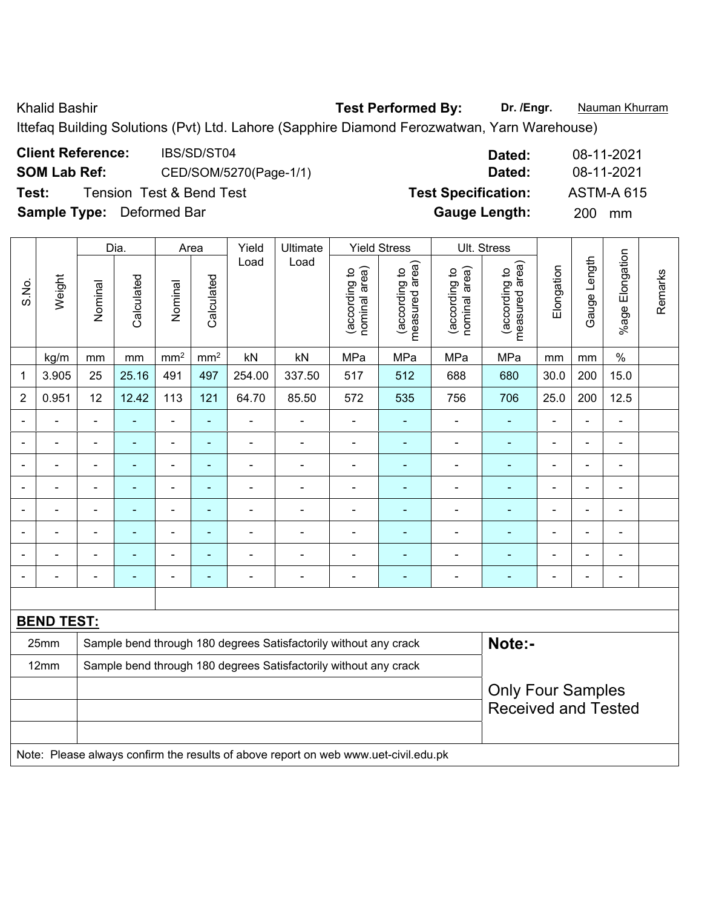Khalid Bashir **Test Performed By:** Dr. /Engr. **Nauman Khurram** 

Ittefaq Building Solutions (Pvt) Ltd. Lahore (Sapphire Diamond Ferozwatwan, Yarn Warehouse)

| <b>Client Reference:</b>         | IBS/SD/ST04                         | Dated:                     | 08-11-2021        |
|----------------------------------|-------------------------------------|----------------------------|-------------------|
| <b>SOM Lab Ref:</b>              | CED/SOM/5270(Page-1/1)              | Dated:                     | 08-11-2021        |
| Test:                            | <b>Tension Test &amp; Bend Test</b> | <b>Test Specification:</b> | <b>ASTM-A 615</b> |
| <b>Sample Type:</b> Deformed Bar |                                     | <b>Gauge Length:</b>       | 200<br>mm         |

|                |                   |                          | Dia.           |                          | Area                     | Yield          | Ultimate                                                         | <b>Yield Stress</b>            |                                 | Ult. Stress                    |                                 |                |                |                          |         |
|----------------|-------------------|--------------------------|----------------|--------------------------|--------------------------|----------------|------------------------------------------------------------------|--------------------------------|---------------------------------|--------------------------------|---------------------------------|----------------|----------------|--------------------------|---------|
| S.No.          | Weight            | Nominal                  | Calculated     | Nominal                  | Calculated               | Load           | Load                                                             | nominal area)<br>(according to | measured area)<br>(according to | nominal area)<br>(according to | measured area)<br>(according to | Elongation     | Gauge Length   | Elongation<br>%age I     | Remarks |
|                | kg/m              | mm                       | mm             | mm <sup>2</sup>          | mm <sup>2</sup>          | kN             | kN                                                               | MPa                            | MPa                             | MPa                            | MPa                             | mm             | mm             | $\%$                     |         |
| 1              | 3.905             | 25                       | 25.16          | 491                      | 497                      | 254.00         | 337.50                                                           | 517                            | 512                             | 688                            | 680                             | 30.0           | 200            | 15.0                     |         |
| $\overline{2}$ | 0.951             | 12                       | 12.42          | 113                      | 121                      | 64.70          | 85.50                                                            | 572                            | 535                             | 756                            | 706                             | 25.0           | 200            | 12.5                     |         |
|                | ÷                 |                          | $\blacksquare$ | $\blacksquare$           | $\blacksquare$           | $\blacksquare$ | $\blacksquare$                                                   | -                              |                                 |                                |                                 |                | ä,             | ä,                       |         |
|                | $\blacksquare$    | $\blacksquare$           | $\blacksquare$ | $\blacksquare$           | $\blacksquare$           | $\blacksquare$ | $\blacksquare$                                                   | $\blacksquare$                 | $\blacksquare$                  | $\blacksquare$                 | $\blacksquare$                  | $\blacksquare$ | ä,             | $\overline{\phantom{a}}$ |         |
|                |                   |                          | $\blacksquare$ | $\blacksquare$           | $\blacksquare$           | $\blacksquare$ | $\overline{\phantom{0}}$                                         | $\blacksquare$                 | ٠                               | $\blacksquare$                 | $\blacksquare$                  |                | $\blacksquare$ | $\blacksquare$           |         |
| $\blacksquare$ | ÷                 | $\blacksquare$           | $\blacksquare$ | $\blacksquare$           | $\blacksquare$           | $\blacksquare$ | $\blacksquare$                                                   | -                              | ÷                               | ÷                              | $\blacksquare$                  | $\blacksquare$ | $\blacksquare$ | -                        |         |
|                | ÷                 |                          | $\blacksquare$ | $\blacksquare$           | $\blacksquare$           | $\blacksquare$ | $\blacksquare$                                                   | $\blacksquare$                 | ÷                               |                                |                                 |                | Ē,             | $\blacksquare$           |         |
|                |                   |                          |                | $\overline{\phantom{0}}$ | $\overline{\phantom{0}}$ | $\blacksquare$ |                                                                  | -                              |                                 |                                |                                 |                | $\overline{a}$ | ä,                       |         |
|                | $\blacksquare$    | $\overline{\phantom{0}}$ | $\blacksquare$ | $\blacksquare$           | $\blacksquare$           | $\blacksquare$ | $\blacksquare$                                                   |                                | ÷                               | ÷                              | $\blacksquare$                  |                | ä,             | L,                       |         |
|                | -                 |                          |                | $\overline{\phantom{0}}$ | ۰                        | ٠              | ۰                                                                | -                              |                                 |                                |                                 |                | $\blacksquare$ | ä,                       |         |
|                |                   |                          |                |                          |                          |                |                                                                  |                                |                                 |                                |                                 |                |                |                          |         |
|                | <b>BEND TEST:</b> |                          |                |                          |                          |                |                                                                  |                                |                                 |                                |                                 |                |                |                          |         |
|                | 25mm              |                          |                |                          |                          |                | Sample bend through 180 degrees Satisfactorily without any crack |                                |                                 |                                | Note:-                          |                |                |                          |         |
|                | 12mm              |                          |                |                          |                          |                | Sample bend through 180 degrees Satisfactorily without any crack |                                |                                 |                                |                                 |                |                |                          |         |
|                |                   |                          |                |                          |                          |                |                                                                  |                                |                                 |                                | <b>Only Four Samples</b>        |                |                |                          |         |
|                |                   |                          |                |                          |                          |                |                                                                  |                                |                                 | <b>Received and Tested</b>     |                                 |                |                |                          |         |

Note: Please always confirm the results of above report on web www.uet-civil.edu.pk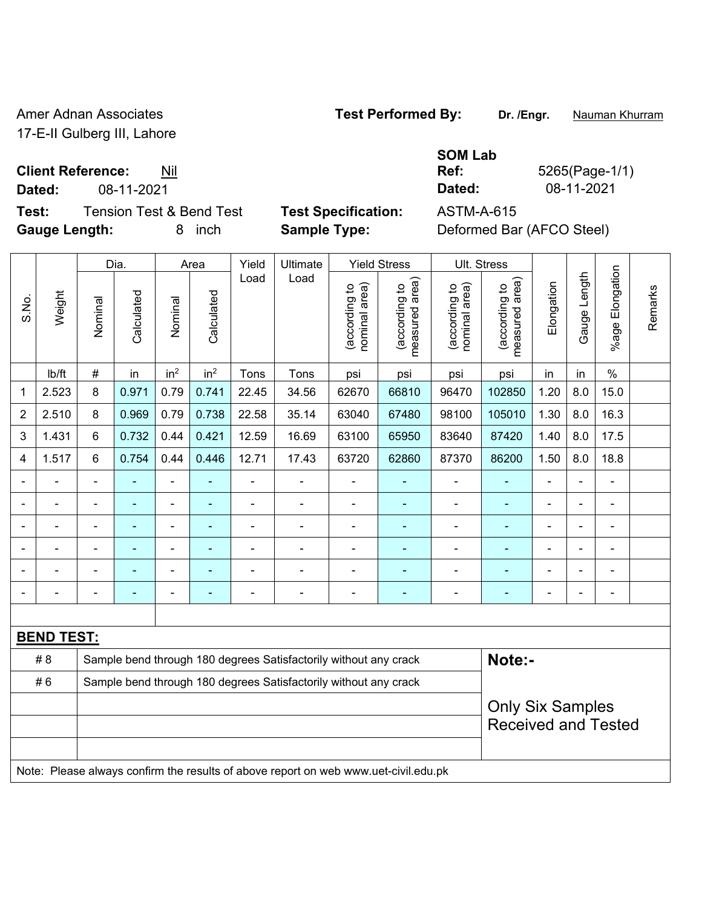Amer Adnan Associates **Test Performed By:** Dr. /Engr. **Nauman Khurram** 17-E-II Gulberg III, Lahore

**Client Reference:** Nil

**Test:** Tension Test & Bend Test **Test Specification:** ASTM-A-615 **Gauge Length:** 8 inch **Sample Type:** Deformed Bar (AFCO Steel)

**SOM Lab Ref:** 5265(Page-1/1) **Dated:** 08-11-2021 **Dated:** 08-11-2021

|                |                   |                | Dia.           |                 | Area            | Yield          | Ultimate                                                                            |                                | <b>Yield Stress</b>                         |                                | Ult. Stress                                           |                |                |                 |         |
|----------------|-------------------|----------------|----------------|-----------------|-----------------|----------------|-------------------------------------------------------------------------------------|--------------------------------|---------------------------------------------|--------------------------------|-------------------------------------------------------|----------------|----------------|-----------------|---------|
| S.No.          | Weight            | Nominal        | Calculated     | Nominal         | Calculated      | Load           | Load                                                                                | nominal area)<br>(according to | (according to<br>neasured area)<br>measured | (according to<br>nominal area) | (according to<br>measured area)                       | Elongation     | Gauge Length   | %age Elongation | Remarks |
|                | Ib/ft             | $\#$           | in             | in <sup>2</sup> | in <sup>2</sup> | Tons           | Tons                                                                                | psi                            | psi                                         | psi                            | psi                                                   | in             | in             | $\%$            |         |
| 1              | 2.523             | 8              | 0.971          | 0.79            | 0.741           | 22.45          | 34.56                                                                               | 62670                          | 66810                                       | 96470                          | 102850                                                | 1.20           | 8.0            | 15.0            |         |
| $\overline{2}$ | 2.510             | 8              | 0.969          | 0.79            | 0.738           | 22.58          | 35.14                                                                               | 63040                          | 67480                                       | 98100                          | 105010                                                | 1.30           | 8.0            | 16.3            |         |
| 3              | 1.431             | 6              | 0.732          | 0.44            | 0.421           | 12.59          | 16.69                                                                               | 63100                          | 65950                                       | 83640                          | 87420                                                 | 1.40           | 8.0            | 17.5            |         |
| 4              | 1.517             | 6              | 0.754          | 0.44            | 0.446           | 12.71          | 17.43                                                                               | 63720                          | 62860                                       | 87370                          | 86200                                                 | 1.50           | 8.0            | 18.8            |         |
|                |                   | $\blacksquare$ | $\blacksquare$ | $\blacksquare$  | $\blacksquare$  | ä,             | $\blacksquare$                                                                      |                                | $\blacksquare$                              | $\overline{\phantom{a}}$       | $\blacksquare$                                        | $\blacksquare$ | $\blacksquare$ | ä,              |         |
|                | $\blacksquare$    | ä,             | ÷,             | $\blacksquare$  | $\blacksquare$  | $\blacksquare$ | ÷,                                                                                  | ä,                             | $\blacksquare$                              | ÷,                             | $\blacksquare$                                        | $\overline{a}$ | $\overline{a}$ | $\blacksquare$  |         |
|                |                   |                | ÷              | -               | ÷               | ÷              | $\blacksquare$                                                                      |                                | $\overline{\phantom{a}}$                    | ÷,                             | ÷,                                                    |                |                | ÷               |         |
|                |                   |                |                | ä,              |                 | $\blacksquare$ |                                                                                     |                                |                                             | ۰                              | ۰                                                     |                |                | $\blacksquare$  |         |
|                |                   |                |                | ä,              |                 |                |                                                                                     |                                |                                             | ۰                              | $\blacksquare$                                        |                |                | $\blacksquare$  |         |
|                |                   |                | $\blacksquare$ | ä,              | ÷               | ÷              | $\blacksquare$                                                                      | Ē,                             | ٠                                           | -                              | ۰                                                     | $\blacksquare$ |                | ÷               |         |
|                |                   |                |                |                 |                 |                |                                                                                     |                                |                                             |                                |                                                       |                |                |                 |         |
|                | <b>BEND TEST:</b> |                |                |                 |                 |                |                                                                                     |                                |                                             |                                |                                                       |                |                |                 |         |
|                | #8                |                |                |                 |                 |                | Sample bend through 180 degrees Satisfactorily without any crack                    |                                |                                             |                                | Note:-                                                |                |                |                 |         |
|                | #6                |                |                |                 |                 |                | Sample bend through 180 degrees Satisfactorily without any crack                    |                                |                                             |                                |                                                       |                |                |                 |         |
|                |                   |                |                |                 |                 |                |                                                                                     |                                |                                             |                                | <b>Only Six Samples</b><br><b>Received and Tested</b> |                |                |                 |         |
|                |                   |                |                |                 |                 |                | Note: Please always confirm the results of above report on web www.uet-civil.edu.pk |                                |                                             |                                |                                                       |                |                |                 |         |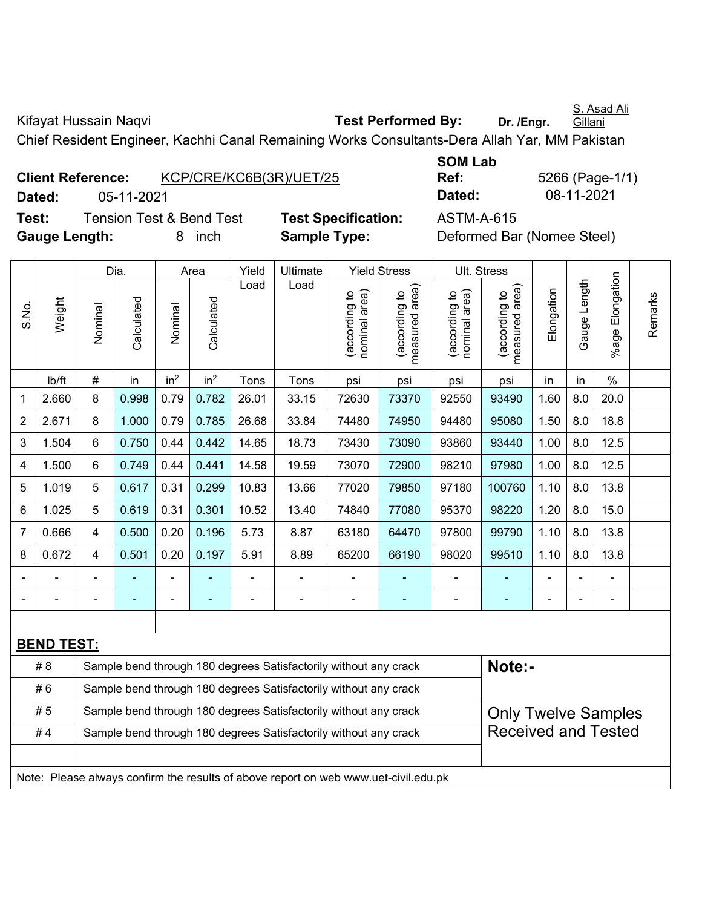Kifayat Hussain Naqvi **Test Performed By:** Dr. /Engr.

Chief Resident Engineer, Kachhi Canal Remaining Works Consultants-Dera Allah Yar, MM Pakistan

|               | <b>Client Reference:</b> | KCP/CRE/KC6B(3R)/UET/25             |                            | Ref:       | 5266 (Page-1               |
|---------------|--------------------------|-------------------------------------|----------------------------|------------|----------------------------|
| Dated:        | 05-11-2021               |                                     |                            | Dated:     | 08-11-2021                 |
| Test:         |                          | <b>Tension Test &amp; Bend Test</b> | <b>Test Specification:</b> | ASTM-A-615 |                            |
| Gauge Length: |                          | inch<br>8                           | <b>Sample Type:</b>        |            | Deformed Bar (Nomee Steel) |

**SOM Lab Ref:** 5266 (Page-1/1) **Dated:** 05-11-2021 **Dated:** 08-11-2021

|       |                   |                                                                                                | Dia.           |                 | Area                     | Yield | Ultimate                                                                            |                                | <b>Yield Stress</b>             | Ult. Stress                    |                                             |                |              |                       |         |
|-------|-------------------|------------------------------------------------------------------------------------------------|----------------|-----------------|--------------------------|-------|-------------------------------------------------------------------------------------|--------------------------------|---------------------------------|--------------------------------|---------------------------------------------|----------------|--------------|-----------------------|---------|
| S.No. | Weight            | Nominal                                                                                        | Calculated     | Nominal         | Calculated               | Load  | Load                                                                                | nominal area)<br>(according to | measured area)<br>(according to | nominal area)<br>(according to | (according to<br>measured area)<br>measured | Elongation     | Gauge Length | Elongation<br>$%$ age | Remarks |
|       | Ib/ft             | $\#$                                                                                           | in             | in <sup>2</sup> | in <sup>2</sup>          | Tons  | Tons                                                                                | psi                            | psi                             | psi                            | psi                                         | in             | in           | $\%$                  |         |
| 1     | 2.660             | 8                                                                                              | 0.998          | 0.79            | 0.782                    | 26.01 | 33.15                                                                               | 72630                          | 73370                           | 92550                          | 93490                                       | 1.60           | 8.0          | 20.0                  |         |
| 2     | 2.671             | 8                                                                                              | 1.000          | 0.79            | 0.785                    | 26.68 | 33.84                                                                               | 74480                          | 74950                           | 94480                          | 95080                                       | 1.50           | 8.0          | 18.8                  |         |
| 3     | 1.504             | 6                                                                                              | 0.750          | 0.44            | 0.442                    | 14.65 | 18.73                                                                               | 73430                          | 73090                           | 93860                          | 93440                                       | 1.00           | 8.0          | 12.5                  |         |
| 4     | 1.500             | 6                                                                                              | 0.749          | 0.44            | 0.441                    | 14.58 | 19.59                                                                               | 73070                          | 72900                           | 98210                          | 97980                                       | 1.00           | 8.0          | 12.5                  |         |
| 5     | 1.019             | 5                                                                                              | 0.617          | 0.31            | 0.299                    | 10.83 | 13.66                                                                               | 77020                          | 79850                           | 97180                          | 100760                                      | 1.10           | 8.0          | 13.8                  |         |
| 6     | 1.025             | 5                                                                                              | 0.619          | 0.31            | 0.301                    | 10.52 | 13.40                                                                               | 74840                          | 77080                           | 95370                          | 98220                                       | 1.20           | 8.0          | 15.0                  |         |
| 7     | 0.666             | 4                                                                                              | 0.500          | 0.20            | 0.196                    | 5.73  | 8.87                                                                                | 63180                          | 64470                           | 97800                          | 99790                                       | 1.10           | 8.0          | 13.8                  |         |
| 8     | 0.672             | $\overline{4}$                                                                                 | 0.501          | 0.20            | 0.197                    | 5.91  | 8.89                                                                                | 65200                          | 66190                           | 98020                          | 99510                                       | 1.10           | 8.0          | 13.8                  |         |
|       |                   | $\blacksquare$                                                                                 | ä,             | $\blacksquare$  |                          | ÷     | $\blacksquare$                                                                      | L,                             | ÷,                              | $\blacksquare$                 | ÷,                                          | ä,             |              | $\blacksquare$        |         |
|       |                   | $\overline{a}$                                                                                 | $\blacksquare$ | $\blacksquare$  | $\overline{\phantom{a}}$ | ÷,    | $\blacksquare$                                                                      | $\blacksquare$                 | $\blacksquare$                  | ÷                              | ÷                                           | $\blacksquare$ |              | $\frac{1}{2}$         |         |
|       |                   |                                                                                                |                |                 |                          |       |                                                                                     |                                |                                 |                                |                                             |                |              |                       |         |
|       | <b>BEND TEST:</b> |                                                                                                |                |                 |                          |       |                                                                                     |                                |                                 |                                |                                             |                |              |                       |         |
|       | #8                |                                                                                                |                |                 |                          |       | Sample bend through 180 degrees Satisfactorily without any crack                    |                                |                                 |                                | Note:-                                      |                |              |                       |         |
|       | #6                | Sample bend through 180 degrees Satisfactorily without any crack                               |                |                 |                          |       |                                                                                     |                                |                                 |                                |                                             |                |              |                       |         |
|       | #5                | Sample bend through 180 degrees Satisfactorily without any crack<br><b>Only Twelve Samples</b> |                |                 |                          |       |                                                                                     |                                |                                 |                                |                                             |                |              |                       |         |
|       | #4                |                                                                                                |                |                 |                          |       | Sample bend through 180 degrees Satisfactorily without any crack                    |                                |                                 |                                | <b>Received and Tested</b>                  |                |              |                       |         |
|       |                   |                                                                                                |                |                 |                          |       |                                                                                     |                                |                                 |                                |                                             |                |              |                       |         |
|       |                   |                                                                                                |                |                 |                          |       | Note: Please always confirm the results of above report on web www.uet-civil.edu.pk |                                |                                 |                                |                                             |                |              |                       |         |

S. Asad Ali

Gillani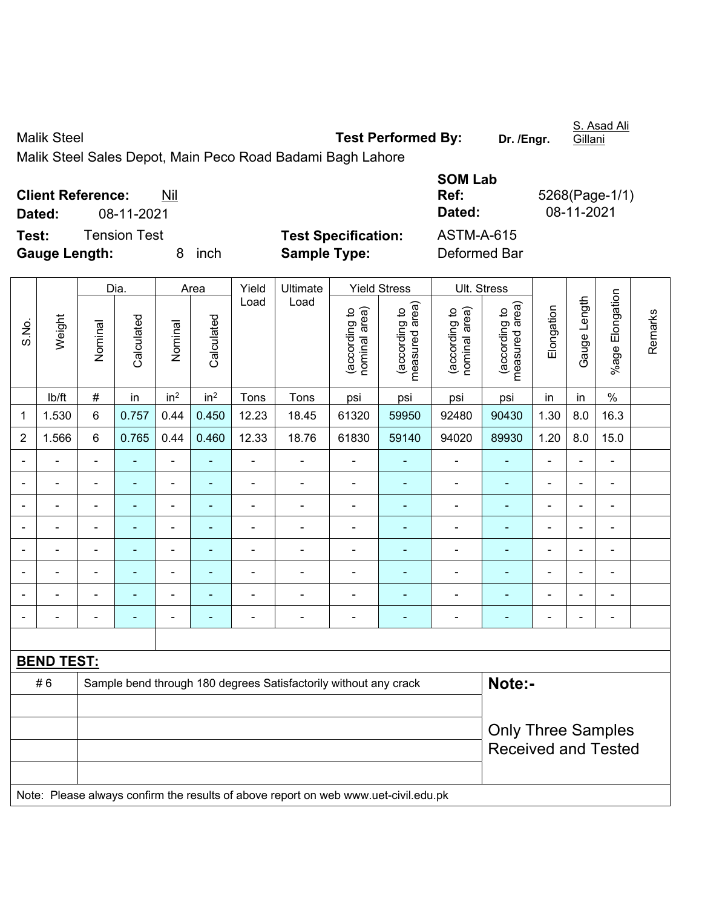Malik Steel **Test Performed By:** Dr. /Engr. Malik Steel Sales Depot, Main Peco Road Badami Bagh Lahore

|                          |              |     |      |                            | <b>SOM Lab</b> |                |
|--------------------------|--------------|-----|------|----------------------------|----------------|----------------|
| <b>Client Reference:</b> |              | Nil |      |                            | Ref:           | 5268(Page-1/1) |
| Dated:                   | 08-11-2021   |     |      |                            | Dated:         | 08-11-2021     |
| Test:                    | Tension Test |     |      | <b>Test Specification:</b> | ASTM-A-615     |                |
| <b>Gauge Length:</b>     |              | 8.  | inch | <b>Sample Type:</b>        | Deformed Bar   |                |

|                |                   |                | Dia.                     |                 | Area            | Yield          | Ultimate                                                                            |                                | <b>Yield Stress</b>             |                                | Ult. Stress                     |                |                |                 |         |
|----------------|-------------------|----------------|--------------------------|-----------------|-----------------|----------------|-------------------------------------------------------------------------------------|--------------------------------|---------------------------------|--------------------------------|---------------------------------|----------------|----------------|-----------------|---------|
| S.No.          | Weight            | Nominal        | Calculated               | Nominal         | Calculated      | Load           | Load                                                                                | (according to<br>nominal area) | (according to<br>measured area) | nominal area)<br>(according to | measured area)<br>(according to | Elongation     | Gauge Length   | %age Elongation | Remarks |
|                | lb/ft             | $\#$           | in                       | in <sup>2</sup> | in <sup>2</sup> | Tons           | Tons                                                                                | psi                            | psi                             | psi                            | psi                             | in             | in             | $\%$            |         |
| 1              | 1.530             | 6              | 0.757                    | 0.44            | 0.450           | 12.23          | 18.45                                                                               | 61320                          | 59950                           | 92480                          | 90430                           | 1.30           | 8.0            | 16.3            |         |
| $\overline{2}$ | 1.566             | 6              | 0.765                    | 0.44            | 0.460           | 12.33          | 18.76                                                                               | 61830                          | 59140                           | 94020                          | 89930                           | 1.20           | 8.0            | 15.0            |         |
|                |                   |                |                          |                 |                 |                |                                                                                     |                                |                                 |                                |                                 |                |                |                 |         |
| $\blacksquare$ |                   |                |                          | $\blacksquare$  |                 | $\blacksquare$ | $\blacksquare$                                                                      | $\blacksquare$                 | $\overline{\phantom{a}}$        | ä,                             | $\blacksquare$                  | ä,             | ÷              | $\blacksquare$  |         |
| $\blacksquare$ |                   | $\blacksquare$ |                          | $\blacksquare$  |                 | Ē,             | $\blacksquare$                                                                      | $\blacksquare$                 |                                 | ÷                              | $\blacksquare$                  | $\blacksquare$ | $\frac{1}{2}$  | $\blacksquare$  |         |
|                |                   | $\blacksquare$ | $\overline{\phantom{a}}$ | ÷,              | $\blacksquare$  | L,             | $\blacksquare$                                                                      | $\blacksquare$                 | $\blacksquare$                  | $\blacksquare$                 | $\blacksquare$                  | L,             | ÷,             | $\blacksquare$  |         |
| $\blacksquare$ |                   | ä,             | $\blacksquare$           | $\blacksquare$  | $\sim$          | L,             | $\blacksquare$                                                                      | $\blacksquare$                 | $\blacksquare$                  | ä,                             | $\blacksquare$                  | Ē,             | $\blacksquare$ | $\blacksquare$  |         |
|                |                   | ä,             | $\blacksquare$           | $\blacksquare$  | ä,              | ä,             | ÷,                                                                                  | $\blacksquare$                 | $\overline{\phantom{a}}$        | $\blacksquare$                 | $\blacksquare$                  | Ē,             | ä,             | $\blacksquare$  |         |
|                |                   |                | $\blacksquare$           | $\blacksquare$  |                 |                | ä,                                                                                  |                                | $\blacksquare$                  | L,                             | $\blacksquare$                  |                | L.             | $\blacksquare$  |         |
| $\overline{a}$ |                   | -              |                          |                 |                 |                | ÷                                                                                   |                                |                                 |                                |                                 |                | ÷              | $\blacksquare$  |         |
|                |                   |                |                          |                 |                 |                |                                                                                     |                                |                                 |                                |                                 |                |                |                 |         |
|                | <b>BEND TEST:</b> |                |                          |                 |                 |                |                                                                                     |                                |                                 |                                |                                 |                |                |                 |         |
|                | #6                |                |                          |                 |                 |                | Sample bend through 180 degrees Satisfactorily without any crack                    |                                |                                 |                                | Note:-                          |                |                |                 |         |
|                |                   |                |                          |                 |                 |                |                                                                                     |                                |                                 |                                |                                 |                |                |                 |         |
|                |                   |                |                          |                 |                 |                |                                                                                     |                                |                                 |                                | <b>Only Three Samples</b>       |                |                |                 |         |
|                |                   |                |                          |                 |                 |                |                                                                                     |                                |                                 |                                | <b>Received and Tested</b>      |                |                |                 |         |
|                |                   |                |                          |                 |                 |                |                                                                                     |                                |                                 |                                |                                 |                |                |                 |         |
|                |                   |                |                          |                 |                 |                | Note: Please always confirm the results of above report on web www.uet-civil.edu.pk |                                |                                 |                                |                                 |                |                |                 |         |

S. Asad Ali **Gillani**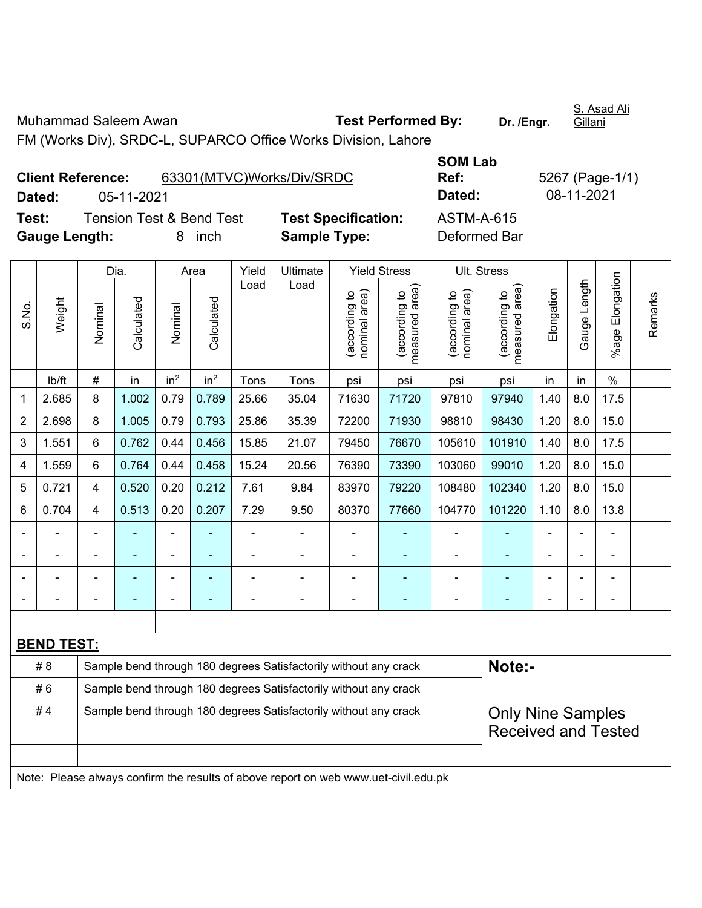Muhammad Saleem Awan **Test Performed By:** Dr. /Engr.

S. Asad Ali Gillani

FM (Works Div), SRDC-L, SUPARCO Office Works Division, Lahore

|                      | <b>Client Reference:</b> | 63301(MTVC)Works/Div/SRDC           |                          |
|----------------------|--------------------------|-------------------------------------|--------------------------|
| Dated:               | 05-11-2021               |                                     |                          |
| Test:                |                          | <b>Tension Test &amp; Bend Test</b> | <b>Test Specificatio</b> |
| <b>Gauge Length:</b> |                          | 8 inch                              | <b>Sample Type:</b>      |

**SOM Lab Ref:** 5267 (Page-1/1) **Dated:** 05-11-2021 **Dated:** 08-11-2021 **n:** ASTM-A-615 **Deformed Bar** 

|                |                                                                                     |                                                                  | Dia.                                                                       |                 | Area            | Yield          | Ultimate                                                         |                                | <b>Yield Stress</b>                         | Ult. Stress                    |                                 |                |                |                 |         |
|----------------|-------------------------------------------------------------------------------------|------------------------------------------------------------------|----------------------------------------------------------------------------|-----------------|-----------------|----------------|------------------------------------------------------------------|--------------------------------|---------------------------------------------|--------------------------------|---------------------------------|----------------|----------------|-----------------|---------|
| S.No.          | Weight                                                                              | Nominal                                                          | Calculated                                                                 | Nominal         | Calculated      | Load           | Load                                                             | nominal area)<br>(according to | (according to<br>neasured area)<br>measured | nominal area)<br>(according to | (according to<br>measured area) | Elongation     | Gauge Length   | %age Elongation | Remarks |
|                | lb/ft                                                                               | #                                                                | in                                                                         | in <sup>2</sup> | in <sup>2</sup> | Tons           | Tons                                                             | psi                            | psi                                         | psi                            | psi                             | in             | in             | $\frac{0}{0}$   |         |
| 1              | 2.685                                                                               | 8                                                                | 1.002                                                                      | 0.79            | 0.789           | 25.66          | 35.04                                                            | 71630                          | 71720                                       | 97810                          | 97940                           | 1.40           | 8.0            | 17.5            |         |
| $\overline{2}$ | 2.698                                                                               | 8                                                                | 1.005                                                                      | 0.79            | 0.793           | 25.86          | 35.39                                                            | 72200                          | 71930                                       | 98810                          | 98430                           | 1.20           | 8.0            | 15.0            |         |
| 3              | 1.551                                                                               | 6                                                                | 0.762                                                                      | 0.44            | 0.456           | 15.85          | 21.07                                                            | 79450                          | 76670                                       | 105610                         | 101910                          | 1.40           | 8.0            | 17.5            |         |
| 4              | 1.559                                                                               | 6                                                                | 0.764                                                                      | 0.44            | 0.458           | 15.24          | 20.56                                                            | 76390                          | 73390                                       | 103060                         | 99010                           | 1.20           | 8.0            | 15.0            |         |
| 5              | 0.721                                                                               | 4                                                                | 0.520                                                                      | 0.20            | 0.212           | 7.61           | 9.84                                                             | 83970                          | 79220                                       | 108480                         | 102340                          | 1.20           | 8.0            | 15.0            |         |
| 6              | 0.704                                                                               | 4                                                                | 0.513                                                                      | 0.20            | 0.207           | 7.29           | 9.50                                                             | 80370                          | 77660                                       | 104770                         | 101220                          | 1.10           | 8.0            | 13.8            |         |
|                |                                                                                     |                                                                  |                                                                            | ä,              |                 |                |                                                                  |                                |                                             | $\blacksquare$                 |                                 |                | ä,             |                 |         |
|                |                                                                                     |                                                                  |                                                                            |                 |                 |                |                                                                  |                                |                                             |                                |                                 |                |                |                 |         |
|                |                                                                                     |                                                                  |                                                                            |                 |                 |                |                                                                  |                                |                                             | Ē,                             |                                 |                |                | ÷               |         |
|                |                                                                                     | ä,                                                               | $\blacksquare$                                                             | ÷               |                 | $\blacksquare$ | $\blacksquare$                                                   | $\blacksquare$                 | $\overline{\phantom{a}}$                    | Ē,                             | ۰                               | $\blacksquare$ | $\blacksquare$ | ۰               |         |
|                |                                                                                     |                                                                  |                                                                            |                 |                 |                |                                                                  |                                |                                             |                                |                                 |                |                |                 |         |
|                | <b>BEND TEST:</b>                                                                   |                                                                  |                                                                            |                 |                 |                |                                                                  |                                |                                             |                                |                                 |                |                |                 |         |
|                | # 8                                                                                 |                                                                  | Note:-<br>Sample bend through 180 degrees Satisfactorily without any crack |                 |                 |                |                                                                  |                                |                                             |                                |                                 |                |                |                 |         |
|                | #6                                                                                  | Sample bend through 180 degrees Satisfactorily without any crack |                                                                            |                 |                 |                |                                                                  |                                |                                             |                                |                                 |                |                |                 |         |
|                | #4                                                                                  |                                                                  |                                                                            |                 |                 |                | Sample bend through 180 degrees Satisfactorily without any crack |                                |                                             |                                | <b>Only Nine Samples</b>        |                |                |                 |         |
|                |                                                                                     |                                                                  |                                                                            |                 |                 |                |                                                                  |                                |                                             |                                | <b>Received and Tested</b>      |                |                |                 |         |
|                |                                                                                     |                                                                  |                                                                            |                 |                 |                |                                                                  |                                |                                             |                                |                                 |                |                |                 |         |
|                | Note: Please always confirm the results of above report on web www.uet-civil.edu.pk |                                                                  |                                                                            |                 |                 |                |                                                                  |                                |                                             |                                |                                 |                |                |                 |         |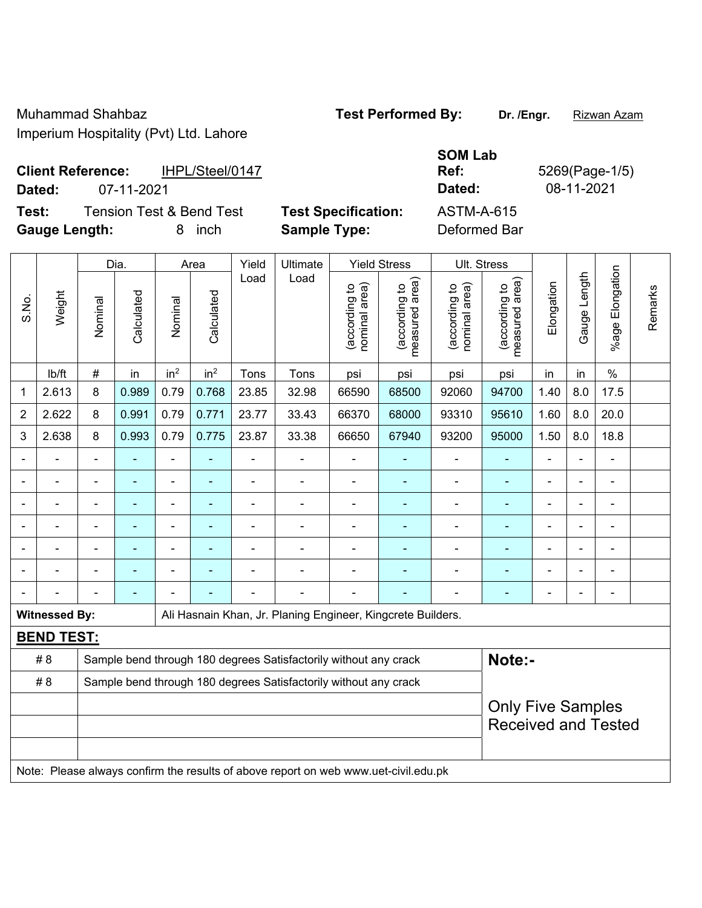# **SOM Lab Ref:** 5269(Page-1/5) **Dated:** 07-11-2021 **Dated:** 08-11-2021

**Client Reference:** IHPL/Steel/0147

**Test:** Tension Test & Bend Test **Test Specification:** ASTM-A-615 **Gauge Length:** 8 inch **Sample Type:** Deformed Bar

|       |                      |                          | Dia.                                                             |                 | Area                     | Yield | Ultimate                                                                            |                                | <b>Yield Stress</b>             | Ult. Stress                    |                                 |                              |                          |                 |         |
|-------|----------------------|--------------------------|------------------------------------------------------------------|-----------------|--------------------------|-------|-------------------------------------------------------------------------------------|--------------------------------|---------------------------------|--------------------------------|---------------------------------|------------------------------|--------------------------|-----------------|---------|
| S.No. | Weight               | Nominal                  | Calculated                                                       | Nominal         | Calculated               | Load  | Load                                                                                | nominal area)<br>(according to | (according to<br>measured area) | nominal area)<br>(according to | measured area)<br>(according to | Elongation                   | Gauge Length             | %age Elongation | Remarks |
|       | lb/ft                | $\#$                     | in                                                               | in <sup>2</sup> | in <sup>2</sup>          | Tons  | Tons                                                                                | psi                            | psi                             | psi                            | psi                             | in                           | in                       | $\%$            |         |
| 1     | 2.613                | 8                        | 0.989                                                            | 0.79            | 0.768                    | 23.85 | 32.98                                                                               | 66590                          | 68500                           | 92060                          | 94700                           | 1.40                         | 8.0                      | 17.5            |         |
| 2     | 2.622                | 8                        | 0.991                                                            | 0.79            | 0.771                    | 23.77 | 33.43                                                                               | 66370                          | 68000                           | 93310                          | 95610                           | 1.60                         | 8.0                      | 20.0            |         |
| 3     | 2.638                | 8                        | 0.993                                                            | 0.79            | 0.775                    | 23.87 | 33.38                                                                               | 66650                          | 67940                           | 93200                          | 95000                           | 1.50                         | 8.0                      | 18.8            |         |
|       |                      |                          |                                                                  | $\blacksquare$  |                          |       |                                                                                     |                                |                                 | $\overline{a}$                 | ۰                               |                              |                          |                 |         |
|       |                      |                          |                                                                  |                 |                          |       |                                                                                     |                                | ٠                               |                                | -                               |                              |                          |                 |         |
|       |                      | $\overline{\phantom{0}}$ |                                                                  | $\overline{a}$  |                          |       |                                                                                     | $\blacksquare$                 | ۰                               | ۰                              | $\blacksquare$                  | $\blacksquare$               | $\overline{a}$           | $\blacksquare$  |         |
|       |                      | $\blacksquare$           | $\overline{\phantom{0}}$                                         | $\overline{a}$  | $\overline{\phantom{0}}$ |       | $\blacksquare$                                                                      | $\blacksquare$                 | ۰                               | $\overline{a}$                 | ۰                               | $\qquad \qquad \blacksquare$ | $\blacksquare$           | $\blacksquare$  |         |
|       |                      | $\blacksquare$           | $\blacksquare$                                                   | ä,              | $\overline{\phantom{0}}$ |       | $\blacksquare$                                                                      | $\blacksquare$                 | ä,                              | $\blacksquare$                 | $\blacksquare$                  | $\blacksquare$               | $\overline{\phantom{0}}$ | $\blacksquare$  |         |
|       |                      |                          |                                                                  |                 |                          |       |                                                                                     |                                |                                 | $\blacksquare$                 | ۰                               |                              |                          |                 |         |
|       |                      |                          |                                                                  |                 |                          |       |                                                                                     |                                |                                 |                                |                                 |                              |                          |                 |         |
|       | <b>Witnessed By:</b> |                          |                                                                  |                 |                          |       | Ali Hasnain Khan, Jr. Planing Engineer, Kingcrete Builders.                         |                                |                                 |                                |                                 |                              |                          |                 |         |
|       | <b>BEND TEST:</b>    |                          |                                                                  |                 |                          |       |                                                                                     |                                |                                 |                                |                                 |                              |                          |                 |         |
|       | # 8                  |                          |                                                                  |                 |                          |       | Sample bend through 180 degrees Satisfactorily without any crack                    |                                |                                 |                                | Note:-                          |                              |                          |                 |         |
|       | # 8                  |                          | Sample bend through 180 degrees Satisfactorily without any crack |                 |                          |       |                                                                                     |                                |                                 |                                |                                 |                              |                          |                 |         |
|       |                      |                          |                                                                  |                 |                          |       |                                                                                     |                                |                                 |                                | <b>Only Five Samples</b>        |                              |                          |                 |         |
|       |                      |                          |                                                                  |                 |                          |       |                                                                                     |                                |                                 |                                | <b>Received and Tested</b>      |                              |                          |                 |         |
|       |                      |                          |                                                                  |                 |                          |       |                                                                                     |                                |                                 |                                |                                 |                              |                          |                 |         |
|       |                      |                          |                                                                  |                 |                          |       | Note: Please always confirm the results of above report on web www.uet-civil.edu.pk |                                |                                 |                                |                                 |                              |                          |                 |         |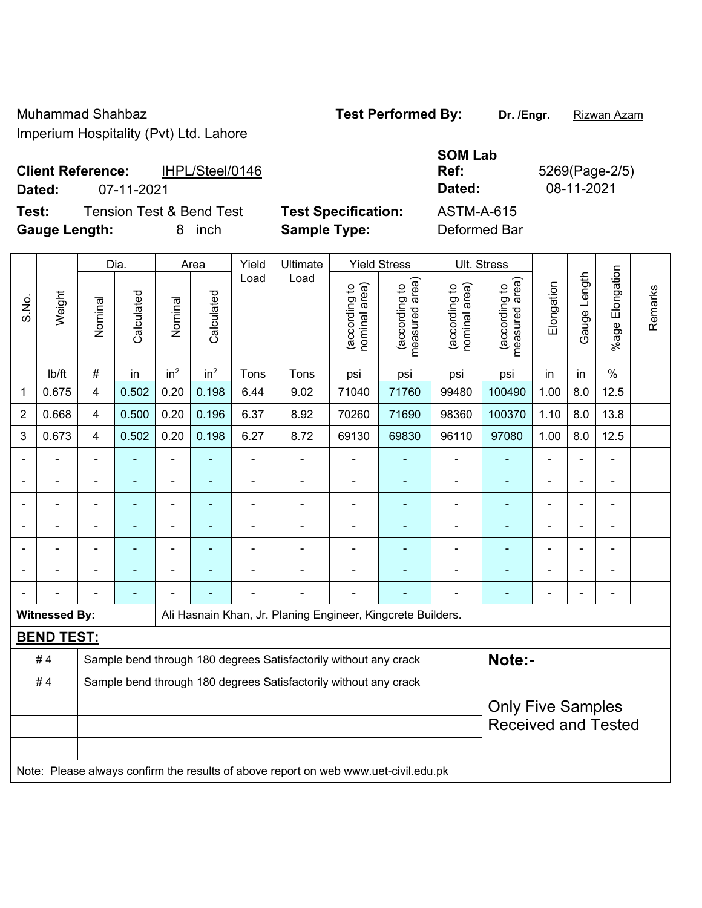| <b>Client Reference:</b> | IHPL/Steel/0146 | Ref:   | 5269(Page-2 |
|--------------------------|-----------------|--------|-------------|
| Dated:                   | 07-11-2021      | Dated: | 08-11-2021  |

**Test:** Tension Test & Bend Test Test Specification: **Gauge Length:** 8 inch **Sample Type:** Deformed Bar

| <b>SOM Lab</b> |      |
|----------------|------|
| Ref:           | 5269 |
| <b>Dated:</b>  | 08-  |
| ASTM-A-615     |      |
|                |      |

 $P(Page-2/5)$ 

|                |                      | Dia.                                                             |            |                          | Area            |                | Ultimate                                                         | <b>Yield Stress</b>            |                                 | Ult. Stress                    |                                    |                       |                |                       |         |
|----------------|----------------------|------------------------------------------------------------------|------------|--------------------------|-----------------|----------------|------------------------------------------------------------------|--------------------------------|---------------------------------|--------------------------------|------------------------------------|-----------------------|----------------|-----------------------|---------|
| S.No.          | Weight               | Nominal                                                          | Calculated | Nominal                  | Calculated      | Load           | Load                                                             | nominal area)<br>(according to | measured area)<br>(according to | nominal area)<br>(according to | area)<br>(according to<br>measured | Elongation            | Gauge Length   | Elongation<br>$%$ age | Remarks |
|                | lb/ft                | $\#$                                                             | in         | in <sup>2</sup>          | in <sup>2</sup> | Tons           | Tons                                                             | psi                            | psi                             | psi                            | psi                                | in                    | in             | $\%$                  |         |
| 1              | 0.675                | $\overline{\mathbf{4}}$                                          | 0.502      | 0.20                     | 0.198           | 6.44           | 9.02                                                             | 71040                          | 71760                           | 99480                          | 100490                             | 1.00                  | 8.0            | 12.5                  |         |
| $\overline{2}$ | 0.668                | $\overline{4}$                                                   | 0.500      | 0.20                     | 0.196           | 6.37           | 8.92                                                             | 70260                          | 71690                           | 98360                          | 100370                             | 1.10                  | 8.0            | 13.8                  |         |
| 3              | 0.673                | $\overline{4}$                                                   | 0.502      | 0.20                     | 0.198           | 6.27           | 8.72                                                             | 69130                          | 69830                           | 96110                          | 97080                              | 1.00                  | 8.0            | 12.5                  |         |
|                |                      | $\overline{a}$                                                   | ÷,         | ۰                        | $\overline{a}$  | $\blacksquare$ | ÷,                                                               | $\blacksquare$                 | ۰                               | ÷                              | $\blacksquare$                     | $\blacksquare$        | $\blacksquare$ | $\frac{1}{2}$         |         |
|                |                      | $\blacksquare$                                                   | ä,         | ۰                        | $\overline{a}$  | $\blacksquare$ | $\overline{a}$                                                   | $\blacksquare$                 | $\blacksquare$                  | $\blacksquare$                 | $\blacksquare$                     | $\blacksquare$        |                | $\blacksquare$        |         |
|                |                      | $\blacksquare$                                                   |            | $\overline{\phantom{0}}$ |                 |                |                                                                  |                                |                                 |                                | $\blacksquare$                     | ۰                     |                | $\blacksquare$        |         |
|                |                      | $\blacksquare$                                                   | ۰          | $\blacksquare$           |                 | $\blacksquare$ | $\blacksquare$                                                   | $\blacksquare$                 |                                 | $\overline{\phantom{0}}$       | $\blacksquare$                     | $\overline{a}$        |                | $\blacksquare$        |         |
|                |                      | $\blacksquare$                                                   | L.         | ۰                        |                 | $\blacksquare$ | $\blacksquare$                                                   | $\blacksquare$                 |                                 | $\overline{\phantom{0}}$       | $\blacksquare$                     | ÷                     |                | ä,                    |         |
|                |                      | $\blacksquare$                                                   | ۰          | ۰                        |                 | $\blacksquare$ | ۰                                                                | $\blacksquare$                 | ٠                               | $\overline{\phantom{0}}$       | $\blacksquare$                     | $\tilde{\phantom{a}}$ |                | ä,                    |         |
|                |                      |                                                                  |            |                          |                 |                |                                                                  |                                |                                 |                                |                                    |                       |                | $\blacksquare$        |         |
|                | <b>Witnessed By:</b> |                                                                  |            |                          |                 |                | Ali Hasnain Khan, Jr. Planing Engineer, Kingcrete Builders.      |                                |                                 |                                |                                    |                       |                |                       |         |
|                | <b>BEND TEST:</b>    |                                                                  |            |                          |                 |                |                                                                  |                                |                                 |                                |                                    |                       |                |                       |         |
|                | #4                   |                                                                  |            |                          |                 |                | Sample bend through 180 degrees Satisfactorily without any crack |                                |                                 |                                | Note:-                             |                       |                |                       |         |
|                | #4                   | Sample bend through 180 degrees Satisfactorily without any crack |            |                          |                 |                |                                                                  |                                |                                 |                                |                                    |                       |                |                       |         |
|                |                      |                                                                  |            |                          |                 |                |                                                                  |                                |                                 |                                | <b>Only Five Samples</b>           |                       |                |                       |         |
|                |                      |                                                                  |            |                          |                 |                |                                                                  |                                |                                 |                                | <b>Received and Tested</b>         |                       |                |                       |         |
|                |                      |                                                                  |            |                          |                 |                |                                                                  |                                |                                 |                                |                                    |                       |                |                       |         |
|                |                      |                                                                  |            |                          |                 |                |                                                                  |                                |                                 |                                |                                    |                       |                |                       |         |

Note: Please always confirm the results of above report on web www.uet-civil.edu.pk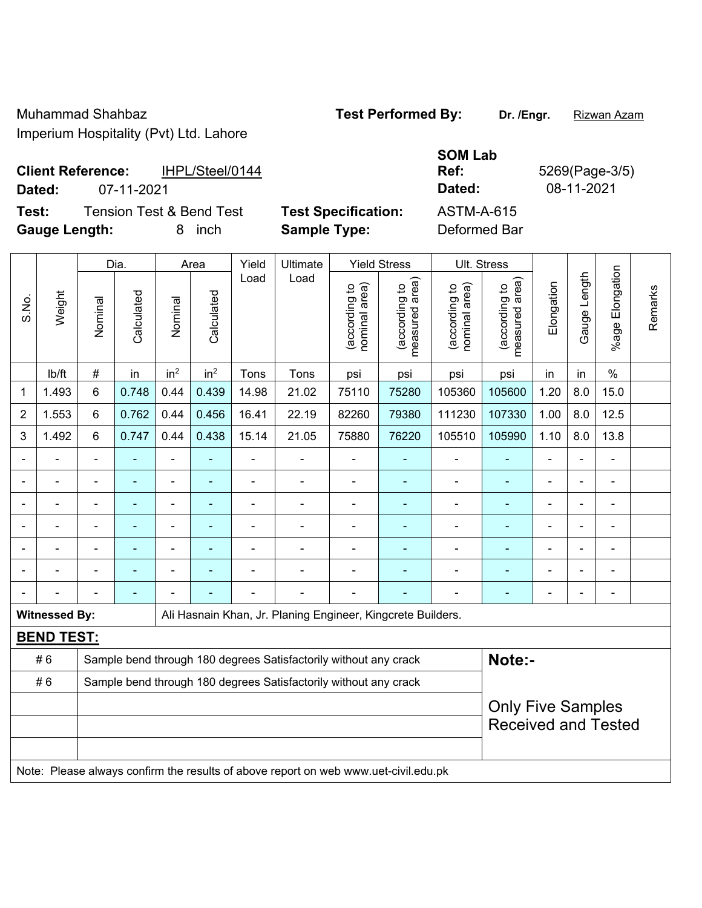| <b>Client Reference:</b> | IHPL/Steel/0144 | <b>Ref</b> | 5269(Page-3) |
|--------------------------|-----------------|------------|--------------|
| Dated:                   | 07-11-2021      | Dated:     | 08-11-2021   |

 $\top$ 

**Test:** Tension Test & Bend Test **Test Specification:** ASTM-A-615

 $\overline{\phantom{a}}$ 

 $\top$ 

 $\overline{\phantom{a}}$ 

**Gauge Length:** 8 inch **Sample Type:** Deformed Bar

 $\overline{\phantom{a}}$ 

**SOM Lab Ref:** 5269(Page-3/5)

 $\top$ 

 $\top$ 

 $\top$ 

 $\top$ 

|                |                      | Dia.           |                | Area            |                 | Yield          | Ultimate                                                                            | <b>Yield Stress</b>            |                                 |                                | Ult. Stress                                            |                |              |                       |         |
|----------------|----------------------|----------------|----------------|-----------------|-----------------|----------------|-------------------------------------------------------------------------------------|--------------------------------|---------------------------------|--------------------------------|--------------------------------------------------------|----------------|--------------|-----------------------|---------|
| S.No.          | Weight               | Nominal        | Calculated     | Nominal         | Calculated      | Load           | Load                                                                                | nominal area)<br>(according to | measured area)<br>(according to | (according to<br>nominal area) | (according to<br>measured area)<br>measured            | Elongation     | Gauge Length | Elongation<br>$%$ age | Remarks |
|                | lb/ft                | $\#$           | in             | in <sup>2</sup> | in <sup>2</sup> | Tons           | Tons                                                                                | psi                            | psi                             | psi                            | psi                                                    | in             | in           | $\%$                  |         |
| 1              | 1.493                | 6              | 0.748          | 0.44            | 0.439           | 14.98          | 21.02                                                                               | 75110                          | 75280                           | 105360                         | 105600                                                 | 1.20           | 8.0          | 15.0                  |         |
| $\overline{2}$ | 1.553                | 6              | 0.762          | 0.44            | 0.456           | 16.41          | 22.19                                                                               | 82260                          | 79380                           | 111230                         | 107330                                                 | 1.00           | 8.0          | 12.5                  |         |
| 3              | 1.492                | 6              | 0.747          | 0.44            | 0.438           | 15.14          | 21.05                                                                               | 75880                          | 76220                           | 105510                         | 105990                                                 | 1.10           | 8.0          | 13.8                  |         |
|                |                      | $\blacksquare$ | $\blacksquare$ | ÷,              | ٠               | ä,             | $\blacksquare$                                                                      | $\overline{a}$                 |                                 | $\overline{\phantom{a}}$       | $\blacksquare$                                         | $\blacksquare$ |              | $\blacksquare$        |         |
|                |                      |                |                | ÷               |                 |                |                                                                                     | $\blacksquare$                 |                                 |                                |                                                        |                |              |                       |         |
|                |                      |                |                | ä,              |                 |                |                                                                                     | $\blacksquare$                 |                                 | $\blacksquare$                 |                                                        |                |              | $\blacksquare$        |         |
| $\blacksquare$ |                      | ۰              | $\blacksquare$ | ä,              | ۰               | $\blacksquare$ | Ē,                                                                                  | $\overline{a}$                 |                                 | Ē,                             | ÷                                                      | $\blacksquare$ |              | $\blacksquare$        |         |
|                |                      | ä,             | $\blacksquare$ | ÷,              |                 | $\blacksquare$ | ٠                                                                                   | $\blacksquare$                 |                                 | Ē,                             | $\overline{\phantom{a}}$                               | $\blacksquare$ |              | $\blacksquare$        |         |
|                |                      |                | ÷              | L.              |                 |                |                                                                                     | $\blacksquare$                 |                                 | Ē,                             |                                                        |                |              |                       |         |
|                |                      |                |                |                 |                 |                |                                                                                     |                                |                                 |                                |                                                        |                |              | $\blacksquare$        |         |
|                | <b>Witnessed By:</b> |                |                |                 |                 |                | Ali Hasnain Khan, Jr. Planing Engineer, Kingcrete Builders.                         |                                |                                 |                                |                                                        |                |              |                       |         |
|                | <b>BEND TEST:</b>    |                |                |                 |                 |                |                                                                                     |                                |                                 |                                |                                                        |                |              |                       |         |
|                | #6                   |                |                |                 |                 |                | Sample bend through 180 degrees Satisfactorily without any crack                    |                                |                                 |                                | Note:-                                                 |                |              |                       |         |
|                | #6                   |                |                |                 |                 |                | Sample bend through 180 degrees Satisfactorily without any crack                    |                                |                                 |                                |                                                        |                |              |                       |         |
|                |                      |                |                |                 |                 |                |                                                                                     |                                |                                 |                                | <b>Only Five Samples</b><br><b>Received and Tested</b> |                |              |                       |         |
|                |                      |                |                |                 |                 |                | Note: Please always confirm the results of above report on web www.uet-civil.edu.pk |                                |                                 |                                |                                                        |                |              |                       |         |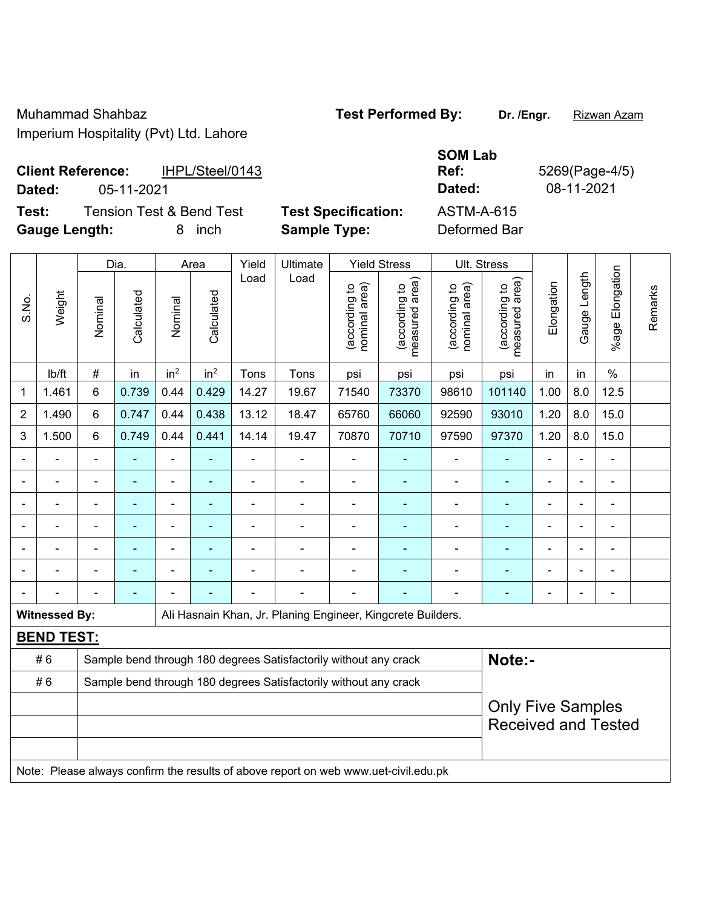Muhammad Shahbaz **Test Performed By: Dr. /Engr.** Rizwan Azam

Imperium Hospitality (Pvt) Ltd. Lahore

## **Client Reference:** IHPL/Steel/0143

S.No.

**Test:** Tension Test & Bend Test **Test Specification: Gauge Length:** 8 inch **Sample Type:** Deformed Bar

|        |                                             |                            | <b>SOM Lab</b>    |             |
|--------|---------------------------------------------|----------------------------|-------------------|-------------|
|        | <b>Client Reference:</b><br>IHPL/Steel/0143 |                            | Ref:              | 5269(Page-4 |
| Dated: | 05-11-2021                                  |                            | Dated:            | 08-11-2021  |
| Test:  | <b>Tension Test &amp; Bend Test</b>         | <b>Test Specification:</b> | <b>ASTM-A-615</b> |             |
|        |                                             |                            |                   |             |

Dia. | Area | Yield | Ultimate | Yield Stress | Ult. Stress %age Elongation %age Elongation Gauge Length Load Load Gauge Length (according to<br>measured area) measured area) (according to<br>measured area) measured area) (according to<br>nominal area) (according to<br>nominal area) Elongation **Elongation** nominal area) nominal area) (according to (according to (according to (according to Remarks Remarks **Calculated Calculated** Weight Calculated Calculated Nominal Nominal Vominal Vominal <code>ib/ft</code>  $\mid$  #  $\mid$  in  $\mid$  in<sup>2</sup>  $\mid$  in<sup>2</sup>  $\mid$  Tons  $\mid$  psi  $\mid$  psi  $\mid$  psi  $\mid$  psi  $\mid$  in  $\mid$  in  $\mid$  % 1 1.461 6 0.739 0.44 0.429 14.27 19.67 71540 73370 98610 101140 1.00 8.0 12.5 2 | 1.490 | 6 | 0.747 | 0.44 | 0.438 | 13.12 | 18.47 | 65760 | 66060 | 92590 | 93010 | 1.20 | 8.0 | 15.0 3 | 1.500 | 6 | 0.749 | 0.44 | 0.441 | 14.14 | 19.47 | 70870 | 70710 | 97590 | 97370 | 1.20 | 8.0 | 15.0 - - - - - - - - - - - - - - - - - - - - - - - - - - - - - - - - - - - - - - - - - - - - - - - - - - - - - - - - - - - - - - - - - - - - - - - - - - - - - - - - - - - - - - - - - - - - - - - - - - - - - - - - - Witnessed By: **Ali Hasnain Khan, Jr. Planing Engineer, Kingcrete Builders. BEND TEST:**  # 6 Sample bend through 180 degrees Satisfactorily without any crack **Note:**-#6 Sample bend through 180 degrees Satisfactorily without any crack Only Five Samples Received and Tested

Note: Please always confirm the results of above report on web www.uet-civil.edu.pk

 $P(Page-4/5)$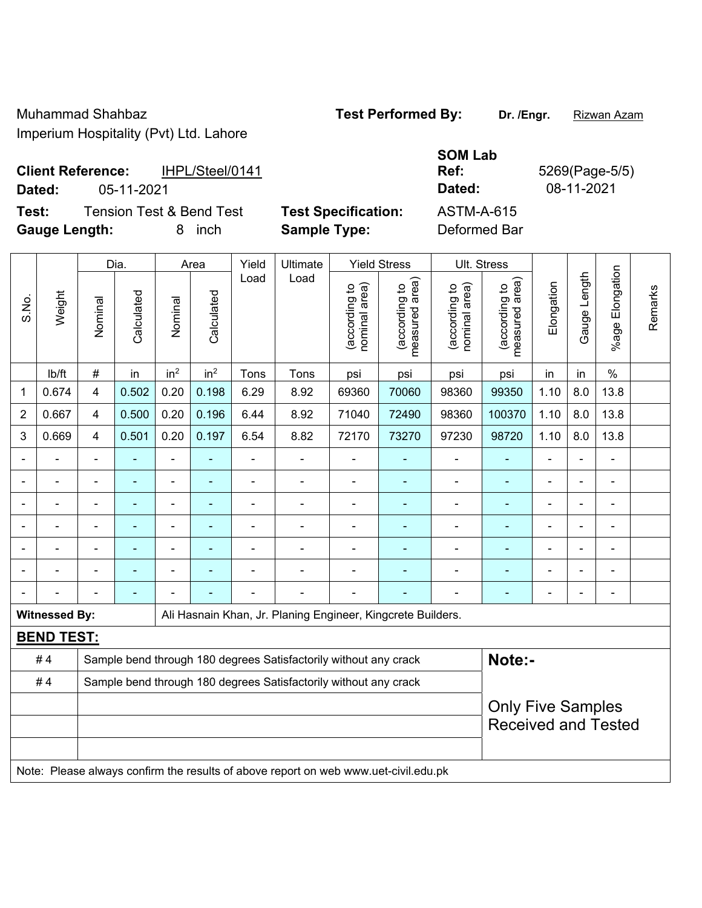| <b>Client Reference:</b> | IHPL/Steel/0141 | Ref:   | 5269(Page-5 |
|--------------------------|-----------------|--------|-------------|
| Dated:                   | 05-11-2021      | Dated: | 08-11-2021  |

**Test:** Tension Test & Bend Test **Test Specification:** A **Gauge Length:** 8 inch **Sample Type:** Deformed Bar

| <b>SOM Lab</b>    |                |
|-------------------|----------------|
| Ref:              | 5269(Page-5/5) |
| Dated:            | 08-11-2021     |
| <b>ASTM-A-615</b> |                |

|                | Weight               |                       | Dia.           | Area                     |                 | Yield          | Ultimate                                                                            |                                 | <b>Yield Stress</b>            |                                 | Ult. Stress                |                              |                       |                              |  |
|----------------|----------------------|-----------------------|----------------|--------------------------|-----------------|----------------|-------------------------------------------------------------------------------------|---------------------------------|--------------------------------|---------------------------------|----------------------------|------------------------------|-----------------------|------------------------------|--|
| S.No.          |                      | Calculated<br>Nominal | Nominal        | Calculated               | Load            | Load           | nominal area)<br>(according to                                                      | (according to<br>measured area) | (according to<br>nominal area) | (according to<br>measured area) | Elongation                 | Gauge Length                 | Elongation<br>$%$ age | Remarks                      |  |
|                | lb/ft                | $\#$                  | in             | in <sup>2</sup>          | in <sup>2</sup> | Tons           | Tons                                                                                | psi                             | psi                            | psi                             | psi                        | in                           | in                    | $\frac{0}{0}$                |  |
| 1              | 0.674                | $\overline{4}$        | 0.502          | 0.20                     | 0.198           | 6.29           | 8.92                                                                                | 69360                           | 70060                          | 98360                           | 99350                      | 1.10                         | 8.0                   | 13.8                         |  |
| $\overline{2}$ | 0.667                | $\overline{4}$        | 0.500          | 0.20                     | 0.196           | 6.44           | 8.92                                                                                | 71040                           | 72490                          | 98360                           | 100370                     | 1.10                         | 8.0                   | 13.8                         |  |
| 3              | 0.669                | $\overline{4}$        | 0.501          | 0.20                     | 0.197           | 6.54           | 8.82                                                                                | 72170                           | 73270                          | 97230                           | 98720                      | 1.10                         | 8.0                   | 13.8                         |  |
| $\blacksquare$ |                      | $\blacksquare$        |                | ÷                        | ٠               | $\blacksquare$ | $\blacksquare$                                                                      | $\blacksquare$                  | $\blacksquare$                 | ÷,                              | ٠                          | ä,                           | $\blacksquare$        | $\overline{a}$               |  |
| $\blacksquare$ |                      |                       | $\blacksquare$ | $\overline{\phantom{0}}$ | ÷               | $\blacksquare$ | $\overline{\phantom{a}}$                                                            | $\blacksquare$                  | $\blacksquare$                 | $\overline{\phantom{a}}$        | $\blacksquare$             |                              | $\blacksquare$        | $\qquad \qquad \blacksquare$ |  |
|                |                      | ä,                    | ÷              | $\overline{\phantom{0}}$ |                 | $\blacksquare$ | ÷                                                                                   | $\blacksquare$                  |                                | ÷                               | $\blacksquare$             | ä,                           | ä,                    | $\frac{1}{2}$                |  |
|                | ÷                    | $\blacksquare$        | $\blacksquare$ | $\overline{\phantom{0}}$ | ۰               | $\blacksquare$ | ä,                                                                                  | $\blacksquare$                  | $\blacksquare$                 | $\overline{\phantom{0}}$        | ÷,                         | $\qquad \qquad \blacksquare$ | ۳                     | ÷,                           |  |
|                |                      |                       |                |                          |                 |                |                                                                                     |                                 |                                |                                 |                            |                              |                       |                              |  |
|                |                      |                       |                | ÷                        |                 |                |                                                                                     |                                 |                                | $\blacksquare$                  | $\blacksquare$             |                              |                       | $\blacksquare$               |  |
|                |                      |                       |                |                          |                 |                |                                                                                     |                                 |                                |                                 | $\blacksquare$             |                              |                       | $\blacksquare$               |  |
|                | <b>Witnessed By:</b> |                       |                |                          |                 |                | Ali Hasnain Khan, Jr. Planing Engineer, Kingcrete Builders.                         |                                 |                                |                                 |                            |                              |                       |                              |  |
|                | <b>BEND TEST:</b>    |                       |                |                          |                 |                |                                                                                     |                                 |                                |                                 |                            |                              |                       |                              |  |
|                | #4                   |                       |                |                          |                 |                | Sample bend through 180 degrees Satisfactorily without any crack                    |                                 |                                |                                 | Note:-                     |                              |                       |                              |  |
|                | #4                   |                       |                |                          |                 |                | Sample bend through 180 degrees Satisfactorily without any crack                    |                                 |                                |                                 |                            |                              |                       |                              |  |
|                |                      |                       |                |                          |                 |                |                                                                                     |                                 |                                |                                 | <b>Only Five Samples</b>   |                              |                       |                              |  |
|                |                      |                       |                |                          |                 |                |                                                                                     |                                 |                                |                                 | <b>Received and Tested</b> |                              |                       |                              |  |
|                |                      |                       |                |                          |                 |                |                                                                                     |                                 |                                |                                 |                            |                              |                       |                              |  |
|                |                      |                       |                |                          |                 |                | Note: Please always confirm the results of above report on web www.uet-civil.edu.pk |                                 |                                |                                 |                            |                              |                       |                              |  |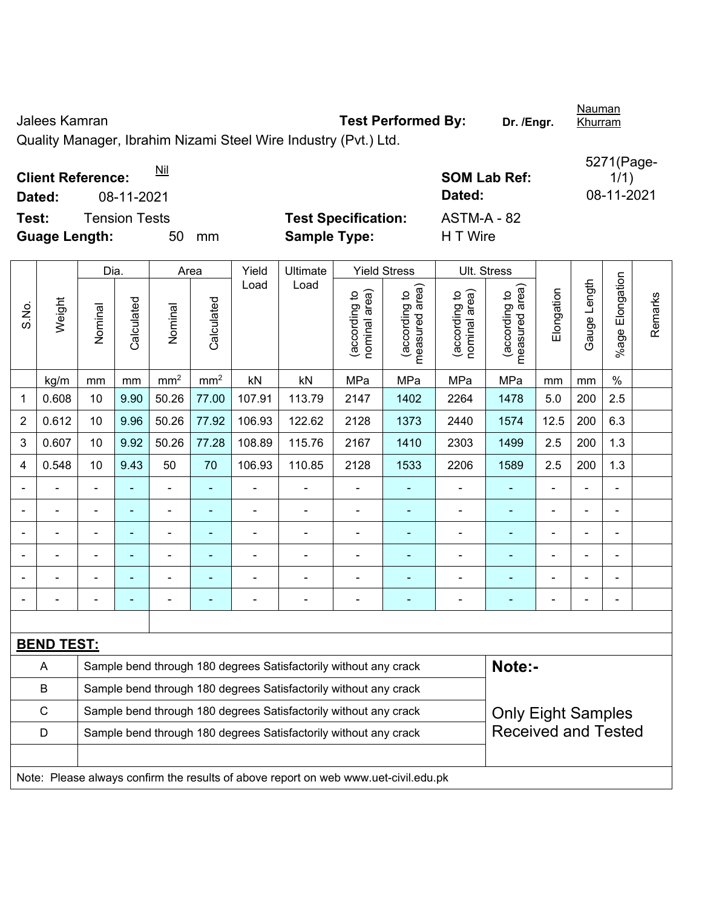Jalees Kamran **Test Performed By: Dr. /Engr.** 

Quality Manager, Ibrahim Nizami Steel Wire Industry (Pvt.) Ltd.

**Client Reference:**  $\frac{Nil}{!}$  **Nill SOM Lab Ref: SOM Lab Ref: SOM Lab Ref: SOM Lab Ref: SOM Lab Ref: SOM Lab Ref: Nill SOM Lab Ref: Nill Nilliang Community COM Lab Ref: Nilliang Community COM CO Dated:** 08-11-2021 **Dated:** 08-11-2021 **Test:** Tension Tests **Test Specification:** ASTM-A - 82

**Guage Length:** 50 mm **Sample Type:** H T Wire

|                |                   | Dia.                                                                                           |                | Area            |                 | Yield          | Ultimate                                                                            | <b>Yield Stress</b>            |                                 | Ult. Stress                    |                                 |                |              |                     |         |
|----------------|-------------------|------------------------------------------------------------------------------------------------|----------------|-----------------|-----------------|----------------|-------------------------------------------------------------------------------------|--------------------------------|---------------------------------|--------------------------------|---------------------------------|----------------|--------------|---------------------|---------|
| S.No.          | Weight            | Nominal                                                                                        | Calculated     | Nominal         | Calculated      | Load           | Load                                                                                | (according to<br>nominal area) | (according to<br>measured area) | nominal area)<br>(according to | (according to<br>measured area) | Elongation     | Gauge Length | Elongation<br>%agel | Remarks |
|                | kg/m              | mm                                                                                             | mm             | mm <sup>2</sup> | mm <sup>2</sup> | kN             | kN                                                                                  | MPa                            | MPa                             | MPa                            | MPa                             | mm             | mm           | $\%$                |         |
| 1              | 0.608             | 10                                                                                             | 9.90           | 50.26           | 77.00           | 107.91         | 113.79                                                                              | 2147                           | 1402                            | 2264                           | 1478                            | 5.0            | 200          | 2.5                 |         |
| $\overline{2}$ | 0.612             | 10                                                                                             | 9.96           | 50.26           | 77.92           | 106.93         | 122.62                                                                              | 2128                           | 1373                            | 2440                           | 1574                            | 12.5           | 200          | 6.3                 |         |
| 3              | 0.607             | 10                                                                                             | 9.92           | 50.26           | 77.28           | 108.89         | 115.76                                                                              | 2167                           | 1410                            | 2303                           | 1499                            | 2.5            | 200          | 1.3                 |         |
| 4              | 0.548             | 10                                                                                             | 9.43           | 50              | 70              | 106.93         | 110.85                                                                              | 2128                           | 1533                            | 2206                           | 1589                            | 2.5            | 200          | 1.3                 |         |
|                |                   | $\blacksquare$                                                                                 |                | $\blacksquare$  | ٠               | $\blacksquare$ | ÷.                                                                                  | $\blacksquare$                 | $\blacksquare$                  | $\blacksquare$                 | $\blacksquare$                  | $\blacksquare$ |              | $\blacksquare$      |         |
|                |                   | $\blacksquare$                                                                                 | $\blacksquare$ | $\blacksquare$  | ÷               | $\blacksquare$ | $\blacksquare$                                                                      | $\blacksquare$                 | ä,                              | $\blacksquare$                 | $\blacksquare$                  | ä,             |              | $\blacksquare$      |         |
|                |                   |                                                                                                |                |                 | ۰               | $\blacksquare$ | $\blacksquare$                                                                      | $\overline{\phantom{a}}$       | $\blacksquare$                  |                                |                                 |                |              |                     |         |
|                |                   |                                                                                                |                |                 |                 |                |                                                                                     |                                |                                 |                                |                                 |                |              | $\blacksquare$      |         |
|                |                   |                                                                                                |                |                 | $\blacksquare$  |                |                                                                                     | $\blacksquare$                 | $\blacksquare$                  |                                |                                 |                |              | $\blacksquare$      |         |
|                |                   |                                                                                                |                |                 | ٠               | $\blacksquare$ | $\overline{a}$                                                                      | ÷                              | $\blacksquare$                  | $\overline{a}$                 | ÷,                              |                |              | $\blacksquare$      |         |
|                |                   |                                                                                                |                |                 |                 |                |                                                                                     |                                |                                 |                                |                                 |                |              |                     |         |
|                | <b>BEND TEST:</b> |                                                                                                |                |                 |                 |                |                                                                                     |                                |                                 |                                |                                 |                |              |                     |         |
|                | $\overline{A}$    |                                                                                                |                |                 |                 |                | Sample bend through 180 degrees Satisfactorily without any crack                    |                                |                                 |                                | Note:-                          |                |              |                     |         |
|                | B                 |                                                                                                |                |                 |                 |                | Sample bend through 180 degrees Satisfactorily without any crack                    |                                |                                 |                                |                                 |                |              |                     |         |
|                | $\mathsf{C}$      |                                                                                                |                |                 |                 |                | Sample bend through 180 degrees Satisfactorily without any crack                    |                                |                                 |                                | <b>Only Eight Samples</b>       |                |              |                     |         |
|                | D                 | <b>Received and Tested</b><br>Sample bend through 180 degrees Satisfactorily without any crack |                |                 |                 |                |                                                                                     |                                |                                 |                                |                                 |                |              |                     |         |
|                |                   |                                                                                                |                |                 |                 |                |                                                                                     |                                |                                 |                                |                                 |                |              |                     |         |
|                |                   |                                                                                                |                |                 |                 |                | Note: Please always confirm the results of above report on web www.uet-civil.edu.pk |                                |                                 |                                |                                 |                |              |                     |         |

5271(Page- $1/1)$ 

Nauman Khurram